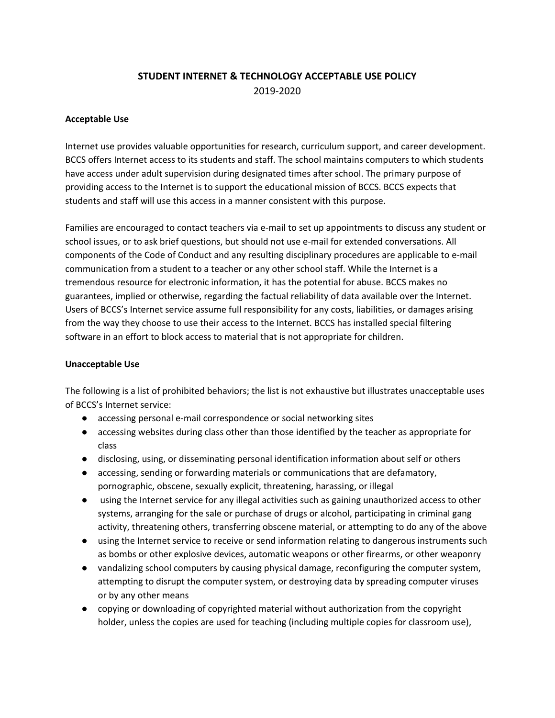# **STUDENT INTERNET & TECHNOLOGY ACCEPTABLE USE POLICY** 2019-2020

#### **Acceptable Use**

Internet use provides valuable opportunities for research, curriculum support, and career development. BCCS offers Internet access to its students and staff. The school maintains computers to which students have access under adult supervision during designated times after school. The primary purpose of providing access to the Internet is to support the educational mission of BCCS. BCCS expects that students and staff will use this access in a manner consistent with this purpose.

Families are encouraged to contact teachers via e-mail to set up appointments to discuss any student or school issues, or to ask brief questions, but should not use e-mail for extended conversations. All components of the Code of Conduct and any resulting disciplinary procedures are applicable to e-mail communication from a student to a teacher or any other school staff. While the Internet is a tremendous resource for electronic information, it has the potential for abuse. BCCS makes no guarantees, implied or otherwise, regarding the factual reliability of data available over the Internet. Users of BCCS's Internet service assume full responsibility for any costs, liabilities, or damages arising from the way they choose to use their access to the Internet. BCCS has installed special filtering software in an effort to block access to material that is not appropriate for children.

#### **Unacceptable Use**

The following is a list of prohibited behaviors; the list is not exhaustive but illustrates unacceptable uses of BCCS's Internet service:

- accessing personal e-mail correspondence or social networking sites
- accessing websites during class other than those identified by the teacher as appropriate for class
- disclosing, using, or disseminating personal identification information about self or others
- accessing, sending or forwarding materials or communications that are defamatory, pornographic, obscene, sexually explicit, threatening, harassing, or illegal
- using the Internet service for any illegal activities such as gaining unauthorized access to other systems, arranging for the sale or purchase of drugs or alcohol, participating in criminal gang activity, threatening others, transferring obscene material, or attempting to do any of the above
- using the Internet service to receive or send information relating to dangerous instruments such as bombs or other explosive devices, automatic weapons or other firearms, or other weaponry
- vandalizing school computers by causing physical damage, reconfiguring the computer system, attempting to disrupt the computer system, or destroying data by spreading computer viruses or by any other means
- copying or downloading of copyrighted material without authorization from the copyright holder, unless the copies are used for teaching (including multiple copies for classroom use),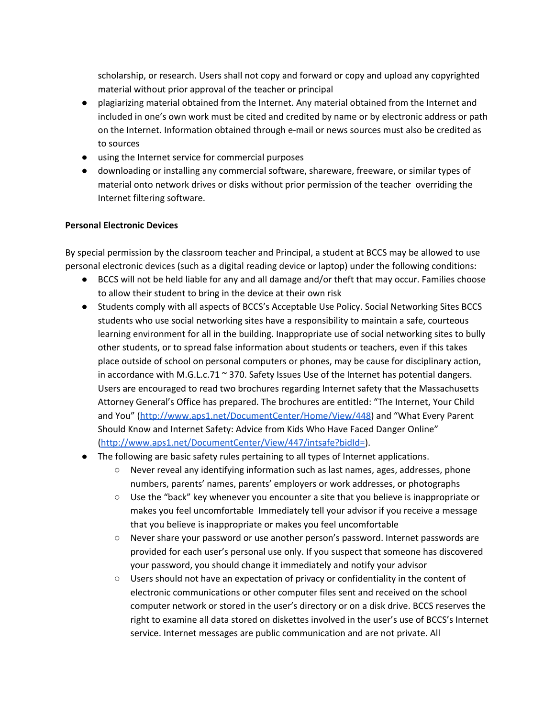scholarship, or research. Users shall not copy and forward or copy and upload any copyrighted material without prior approval of the teacher or principal

- plagiarizing material obtained from the Internet. Any material obtained from the Internet and included in one's own work must be cited and credited by name or by electronic address or path on the Internet. Information obtained through e-mail or news sources must also be credited as to sources
- using the Internet service for commercial purposes
- downloading or installing any commercial software, shareware, freeware, or similar types of material onto network drives or disks without prior permission of the teacher overriding the Internet filtering software.

## **Personal Electronic Devices**

By special permission by the classroom teacher and Principal, a student at BCCS may be allowed to use personal electronic devices (such as a digital reading device or laptop) under the following conditions:

- BCCS will not be held liable for any and all damage and/or theft that may occur. Families choose to allow their student to bring in the device at their own risk
- Students comply with all aspects of BCCS's Acceptable Use Policy. Social Networking Sites BCCS students who use social networking sites have a responsibility to maintain a safe, courteous learning environment for all in the building. Inappropriate use of social networking sites to bully other students, or to spread false information about students or teachers, even if this takes place outside of school on personal computers or phones, may be cause for disciplinary action, in accordance with M.G.L.c.71  $\approx$  370. Safety Issues Use of the Internet has potential dangers. Users are encouraged to read two brochures regarding Internet safety that the Massachusetts Attorney General's Office has prepared. The brochures are entitled: "The Internet, Your Child and You" [\(http://www.aps1.net/DocumentCenter/Home/View/448\)](http://www.aps1.net/DocumentCenter/Home/View/448) and "What Every Parent Should Know and Internet Safety: Advice from Kids Who Have Faced Danger Online" [\(http://www.aps1.net/DocumentCenter/View/447/intsafe?bidId=\)](http://www.aps1.net/DocumentCenter/View/447/intsafe?bidId=).
- The following are basic safety rules pertaining to all types of Internet applications.
	- Never reveal any identifying information such as last names, ages, addresses, phone numbers, parents' names, parents' employers or work addresses, or photographs
	- $\circ$  Use the "back" key whenever you encounter a site that you believe is inappropriate or makes you feel uncomfortable Immediately tell your advisor if you receive a message that you believe is inappropriate or makes you feel uncomfortable
	- Never share your password or use another person's password. Internet passwords are provided for each user's personal use only. If you suspect that someone has discovered your password, you should change it immediately and notify your advisor
	- Users should not have an expectation of privacy or confidentiality in the content of electronic communications or other computer files sent and received on the school computer network or stored in the user's directory or on a disk drive. BCCS reserves the right to examine all data stored on diskettes involved in the user's use of BCCS's Internet service. Internet messages are public communication and are not private. All